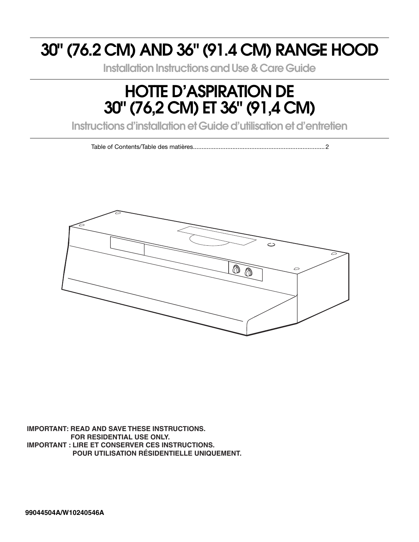# **30" (76.2 CM) AND 36" (91.4 CM) RANGE HOOD**

**Installation Instructions and Use & Care Guide**

# **HOTTE D'ASPIRATION DE 30" (76,2 CM) ET 36" (91,4 CM)**

**Instructions d'installation et Guide d'utilisation et d'entretien**

Table of Contents/Table des matières.............................................................................2



**IMPORTANT: READ AND SAVE THESE INSTRUCTIONS. FOR RESIDENTIAL USE ONLY. IMPORTANT : LIRE ET CONSERVER CES INSTRUCTIONS. POUR UTILISATION RÉSIDENTIELLE UNIQUEMENT.**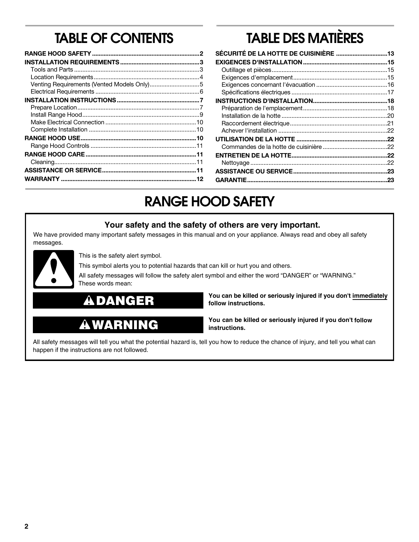# **TABLE OF CONTENTS**

| Venting Requirements (Vented Models Only)5 |  |
|--------------------------------------------|--|
|                                            |  |
|                                            |  |
|                                            |  |
|                                            |  |
|                                            |  |
|                                            |  |
|                                            |  |
|                                            |  |
|                                            |  |
|                                            |  |
|                                            |  |
|                                            |  |
|                                            |  |

# **TABLE DES MATIÈRES**

| .22 |
|-----|
| .22 |
| .23 |
| .23 |

# **RANGE HOOD SAFETY**

### **Your safety and the safety of others are very important.**

We have provided many important safety messages in this manual and on your appliance. Always read and obey all safety messages.



This is the safety alert symbol.

This symbol alerts you to potential hazards that can kill or hurt you and others.

All safety messages will follow the safety alert symbol and either the word "DANGER" or "WARNING." These words mean:



# **WARNING**

**You can be killed or seriously injured if you don't immediately follow instructions.**

**You can be killed or seriously injured if you don't follow instructions.**

All safety messages will tell you what the potential hazard is, tell you how to reduce the chance of injury, and tell you what can happen if the instructions are not followed.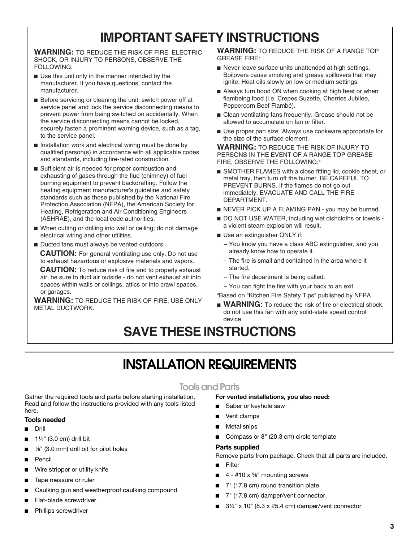# **IMPORTANT SAFETY INSTRUCTIONS**

**WARNING:** TO REDUCE THE RISK OF FIRE, ELECTRIC SHOCK, OR INJURY TO PERSONS, OBSERVE THE FOLLOWING:

- Use this unit only in the manner intended by the manufacturer. If you have questions, contact the manufacturer.
- Before servicing or cleaning the unit, switch power off at service panel and lock the service disconnecting means to prevent power from being switched on accidentally. When the service disconnecting means cannot be locked, securely fasten a prominent warning device, such as a tag, to the service panel.
- Installation work and electrical wiring must be done by qualified person(s) in accordance with all applicable codes and standards, including fire-rated construction.
- Sufficient air is needed for proper combustion and exhausting of gases through the flue (chimney) of fuel burning equipment to prevent backdrafting. Follow the heating equipment manufacturer's guideline and safety standards such as those published by the National Fire Protection Association (NFPA), the American Society for Heating, Refrigeration and Air Conditioning Engineers (ASHRAE), and the local code authorities.
- When cutting or drilling into wall or ceiling; do not damage electrical wiring and other utilities.
- Ducted fans must always be vented outdoors. **CAUTION:** For general ventilating use only. Do not use to exhaust hazardous or explosive materials and vapors.

 **CAUTION:** To reduce risk of fire and to properly exhaust air, be sure to duct air outside - do not vent exhaust air into spaces within walls or ceilings, attics or into crawl spaces, or garages.

**WARNING:** TO REDUCE THE RISK OF FIRE, USE ONLY METAL DUCTWORK.

### **WARNING:** TO REDUCE THE RISK OF A RANGE TOP GREASE FIRE:

- Never leave surface units unattended at high settings. Boilovers cause smoking and greasy spillovers that may ignite. Heat oils slowly on low or medium settings.
- Always turn hood ON when cooking at high heat or when flambeing food (i.e. Crepes Suzette, Cherries Jubilee, Peppercorn Beef Flambé).
- Clean ventilating fans frequently. Grease should not be allowed to accumulate on fan or filter.
- Use proper pan size. Always use cookware appropriate for the size of the surface element.

### **WARNING:** TO REDUCE THE RISK OF INJURY TO PERSONS IN THE EVENT OF A RANGE TOP GREASE FIRE, OBSERVE THE FOLLOWING:<sup>a</sup>

- SMOTHER FLAMES with a close fitting lid, cookie sheet, or metal tray, then turn off the burner. BE CAREFUL TO PREVENT BURNS. If the flames do not go out immediately, EVACUATE AND CALL THE FIRE DEPARTMENT.
- NEVER PICK UP A FLAMING PAN you may be burned.
- DO NOT USE WATER, including wet dishcloths or towels a violent steam explosion will result.
- Use an extinguisher ONLY if:
	- You know you have a class ABC extinguisher, and you already know how to operate it.
	- The fire is small and contained in the area where it started.
	- The fire department is being called.
	- You can fight the fire with your back to an exit.

a Based on "Kitchen Fire Safety Tips" published by NFPA.

■ **WARNING:** To reduce the risk of fire or electrical shock, do not use this fan with any solid-state speed control device.

# **SAVE THESE INSTRUCTIONS**

# **INSTALLATION REQUIREMENTS**

### **Tools and Parts**

Gather the required tools and parts before starting installation. Read and follow the instructions provided with any tools listed here.

### **Tools needed**

- Drill
- $1\frac{1}{4}$ " (3.0 cm) drill bit
- 1/<sub>8</sub>" (3.0 mm) drill bit for pilot holes
- **Pencil**
- Wire stripper or utility knife
- Tape measure or ruler
- Caulking gun and weatherproof caulking compound
- Flat-blade screwdriver
- Phillips screwdriver

### **For vented installations, you also need:**

- Saber or keyhole saw
- Vent clamps
- **Metal snips**
- Compass or 8" (20.3 cm) circle template

### **Parts supplied**

Remove parts from package. Check that all parts are included.

- **Filter**
- $4 #10 \times \%$ " mounting screws
- 7" (17.8 cm) round transition plate
- 7" (17.8 cm) damper/vent connector
- $3\frac{1}{4}$ " x 10" (8.3 x 25.4 cm) damper/vent connector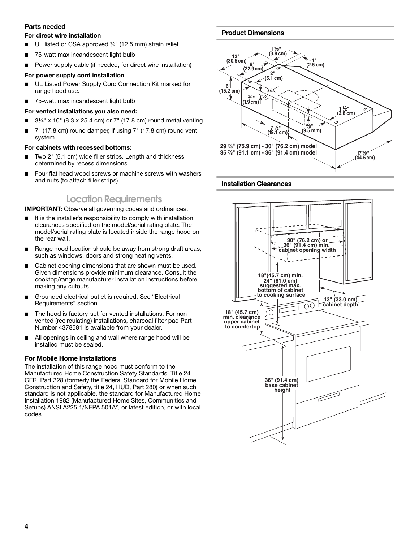### **Parts needed**

### **For direct wire installation**

- UL listed or CSA approved  $\frac{1}{2}$ " (12.5 mm) strain relief
- 75-watt max incandescent light bulb
- Power supply cable (if needed, for direct wire installation)

### **For power supply cord installation**

- UL Listed Power Supply Cord Connection Kit marked for range hood use.
- 75-watt max incandescent light bulb

### **For vented installations you also need:**

- $3\frac{1}{4}$ " x 10" (8.3 x 25.4 cm) or 7" (17.8 cm) round metal venting
- 7" (17.8 cm) round damper, if using 7" (17.8 cm) round vent system

### **For cabinets with recessed bottoms:**

- Two 2" (5.1 cm) wide filler strips. Length and thickness determined by recess dimensions.
- Four flat head wood screws or machine screws with washers and nuts (to attach filler strips).

### **Location Requirements**

**IMPORTANT:** Observe all governing codes and ordinances.

- It is the installer's responsibility to comply with installation clearances specified on the model/serial rating plate. The model/serial rating plate is located inside the range hood on the rear wall.
- Range hood location should be away from strong draft areas, such as windows, doors and strong heating vents.
- Cabinet opening dimensions that are shown must be used. Given dimensions provide minimum clearance. Consult the cooktop/range manufacturer installation instructions before making any cutouts.
- Grounded electrical outlet is required. See "Electrical Requirements" section.
- The hood is factory-set for vented installations. For nonvented (recirculating) installations, charcoal filter pad Part Number 4378581 is available from your dealer.
- All openings in ceiling and wall where range hood will be installed must be sealed.

### **For Mobile Home Installations**

The installation of this range hood must conform to the Manufactured Home Construction Safety Standards, Title 24 CFR, Part 328 (formerly the Federal Standard for Mobile Home Construction and Safety, title 24, HUD, Part 280) or when such standard is not applicable, the standard for Manufactured Home Installation 1982 (Manufactured Home Sites, Communities and Setups) ANSI A225.1/NFPA 501A\*, or latest edition, or with local codes.



### **Installation Clearances**

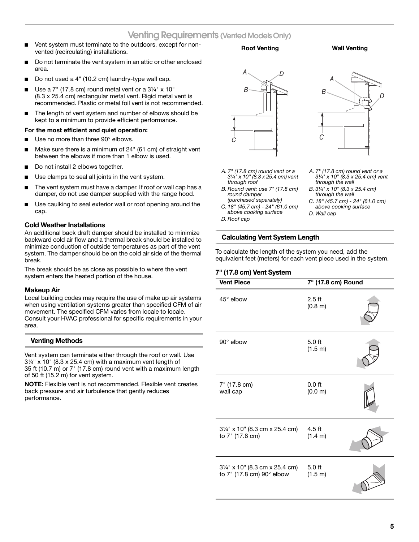**Venting Requirements (Vented Models Only)**

- Vent system must terminate to the outdoors, except for nonvented (recirculating) installations.
- Do not terminate the vent system in an attic or other enclosed area.
- Do not used a 4" (10.2 cm) laundry-type wall cap.
- Use a  $7"$  (17.8 cm) round metal vent or a  $3\frac{1}{4}"$  x 10" (8.3 x 25.4 cm) rectangular metal vent. Rigid metal vent is recommended. Plastic or metal foil vent is not recommended.
- The length of vent system and number of elbows should be kept to a minimum to provide efficient performance.

#### **For the most efficient and quiet operation:**

- Use no more than three 90° elbows.
- Make sure there is a minimum of  $24$ " (61 cm) of straight vent between the elbows if more than 1 elbow is used.
- Do not install 2 elbows together.
- Use clamps to seal all joints in the vent system.
- The vent system must have a damper. If roof or wall cap has a damper, do not use damper supplied with the range hood.
- Use caulking to seal exterior wall or roof opening around the cap.

#### **Cold Weather Installations**

An additional back draft damper should be installed to minimize backward cold air flow and a thermal break should be installed to minimize conduction of outside temperatures as part of the vent system. The damper should be on the cold air side of the thermal break.

The break should be as close as possible to where the vent system enters the heated portion of the house.

#### **Makeup Air**

Local building codes may require the use of make up air systems when using ventilation systems greater than specified CFM of air movement. The specified CFM varies from locale to locale. Consult your HVAC professional for specific requirements in your area.

#### **Venting Methods**

Vent system can terminate either through the roof or wall. Use  $3\frac{1}{4}$ " x 10" (8.3 x 25.4 cm) with a maximum vent length of 35 ft (10.7 m) or 7" (17.8 cm) round vent with a maximum length of 50 ft (15.2 m) for vent system.

**NOTE:** Flexible vent is not recommended. Flexible vent creates back pressure and air turbulence that gently reduces performance.



- *A. 7" (17.8 cm) round vent or a 3*¹⁄₄*" x 10" (8.3 x 25.4 cm) vent through roof*
- *B. Round vent: use 7" (17.8 cm) round damper (purchased separately)*
- *C. 18" (45.7 cm) 24" (61.0 cm) above cooking surface*
- *D. Roof cap*

**Roof Venting Wall Venting** 

D

A

B

C



- *through the wall*
- *C. 18" (45.7 cm) 24" (61.0 cm) above cooking surface*
- *D. Wall cap*

#### **Calculating Vent System Length**

To calculate the length of the system you need, add the equivalent feet (meters) for each vent piece used in the system.

#### **7" (17.8 cm) Vent System**

| <b>Vent Piece</b>                                                        | 7" (17.8 cm) Round  |  |
|--------------------------------------------------------------------------|---------------------|--|
| $45^\circ$ elbow                                                         | $2.5$ ft<br>(0.8 m) |  |
| 90° elbow                                                                | 5.0 ft<br>(1.5 m)   |  |
| 7" (17.8 cm)<br>wall cap                                                 | $0.0$ ft<br>(0.0 m) |  |
| $3\frac{1}{4}$ x 10" (8.3 cm x 25.4 cm)<br>to 7" (17.8 cm)               | $4.5$ ft<br>(1.4 m) |  |
| 31/ <sub>4</sub> " x 10" (8.3 cm x 25.4 cm)<br>to 7" (17.8 cm) 90° elbow | $5.0$ ft<br>(1.5 m) |  |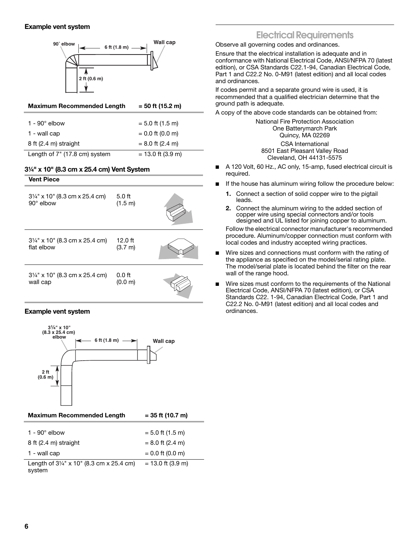### **Example vent system**



| <b>Maximum Recommended Length</b> | $= 50$ ft (15.2 m)  |
|-----------------------------------|---------------------|
| 1 - $90^\circ$ elbow              | $= 5.0$ ft (1.5 m)  |
| 1 - wall cap                      | $= 0.0$ ft (0.0 m)  |
| 8 ft (2.4 m) straight             | $= 8.0$ ft (2.4 m)  |
| Length of 7" (17.8 cm) system     | $= 13.0$ ft (3.9 m) |

### **3¹⁄₄" x 10" (8.3 cm x 25.4 cm) Vent System**

| $3\frac{1}{4}$ " x 10" (8.3 cm x 25.4 cm)<br>$90^\circ$ elbow | $5.0$ ft<br>(1.5 m)  |  |
|---------------------------------------------------------------|----------------------|--|
| $3\frac{1}{4}$ x 10" (8.3 cm x 25.4 cm)<br>flat elbow         | $12.0$ ft<br>(3.7 m) |  |
| $3\frac{1}{4}$ " x 10" (8.3 cm x 25.4 cm)<br>wall cap         | $0.0$ ft<br>(0.0 m)  |  |

### **Example vent system**

**Vent Piece**



 $1 - \text{wall cap}$  = 0.0 ft (0.0 m) Length of  $3\frac{1}{4}$ " x 10" (8.3 cm x 25.4 cm) system = 13.0 ft (3.9 m)

### **Electrical Requirements**

Observe all governing codes and ordinances.

Ensure that the electrical installation is adequate and in conformance with National Electrical Code, ANSI/NFPA 70 (latest edition), or CSA Standards C22.1-94, Canadian Electrical Code, Part 1 and C22.2 No. 0-M91 (latest edition) and all local codes and ordinances.

If codes permit and a separate ground wire is used, it is recommended that a qualified electrician determine that the ground path is adequate.

A copy of the above code standards can be obtained from:

National Fire Protection Association One Batterymarch Park Quincy, MA 02269 CSA International 8501 East Pleasant Valley Road Cleveland, OH 44131-5575

- A 120 Volt, 60 Hz., AC only, 15-amp, fused electrical circuit is required.
- If the house has aluminum wiring follow the procedure below:
	- **1.** Connect a section of solid copper wire to the pigtail leads.
	- **2.** Connect the aluminum wiring to the added section of copper wire using special connectors and/or tools designed and UL listed for joining copper to aluminum. Follow the electrical connector manufacturer's recommended procedure. Aluminum/copper connection must conform with local codes and industry accepted wiring practices.
- Wire sizes and connections must conform with the rating of the appliance as specified on the model/serial rating plate. The model/serial plate is located behind the filter on the rear wall of the range hood.
- Wire sizes must conform to the requirements of the National Electrical Code, ANSI/NFPA 70 (latest edition), or CSA Standards C22. 1-94, Canadian Electrical Code, Part 1 and C22.2 No. 0-M91 (latest edition) and all local codes and ordinances.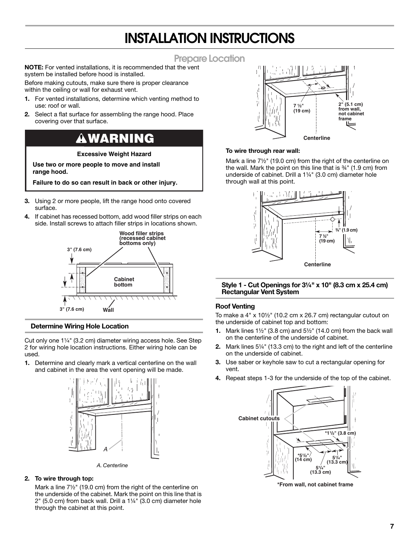# **INSTALLATION INSTRUCTIONS**

### **Prepare Location**

**NOTE:** For vented installations, it is recommended that the vent system be installed before hood is installed.

Before making cutouts, make sure there is proper clearance within the ceiling or wall for exhaust vent.

- **1.** For vented installations, determine which venting method to use: roof or wall.
- **2.** Select a flat surface for assembling the range hood. Place covering over that surface.

### **WARNING**

### **Excessive Weight Hazard**

**Use two or more people to move and install range hood.**

**Failure to do so can result in back or other injury.**

- **3.** Using 2 or more people, lift the range hood onto covered surface.
- **4.** If cabinet has recessed bottom, add wood filler strips on each side. Install screws to attach filler strips in locations shown.



### **Determine Wiring Hole Location**

Cut only one  $1\frac{1}{4}$ " (3.2 cm) diameter wiring access hole. See Step 2 for wiring hole location instructions. Either wiring hole can be used.

**1.** Determine and clearly mark a vertical centerline on the wall and cabinet in the area the vent opening will be made.



*A. Centerline*

### **2. To wire through top:**

Mark a line 7½" (19.0 cm) from the right of the centerline on the underside of the cabinet. Mark the point on this line that is 2" (5.0 cm) from back wall. Drill a 1¼" (3.0 cm) diameter hole through the cabinet at this point.



### **To wire through rear wall:**

Mark a line 7½" (19.0 cm) from the right of the centerline on the wall. Mark the point on this line that is ¾" (1.9 cm) from underside of cabinet. Drill a 1¼" (3.0 cm) diameter hole through wall at this point.



**Style 1 - Cut Openings for 3¼" x 10" (8.3 cm x 25.4 cm) Rectangular Vent System**

### **Roof Venting**

To make a 4" x 10½" (10.2 cm x 26.7 cm) rectangular cutout on the underside of cabinet top and bottom:

- **1.** Mark lines 1½" (3.8 cm) and 5½" (14.0 cm) from the back wall on the centerline of the underside of cabinet.
- **2.** Mark lines 5¼" (13.3 cm) to the right and left of the centerline on the underside of cabinet.
- **3.** Use saber or keyhole saw to cut a rectangular opening for vent.
- **4.** Repeat steps 1-3 for the underside of the top of the cabinet.



**\*From wall, not cabinet frame**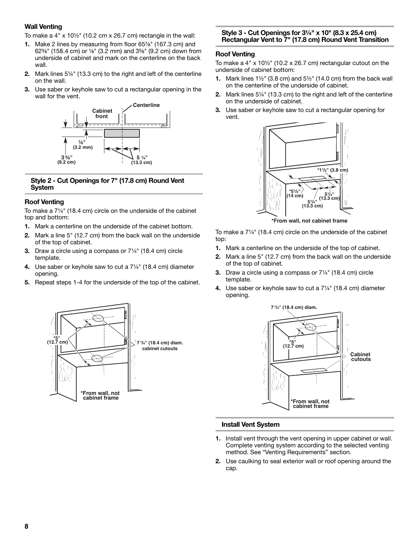### **Wall Venting**

To make a  $4" \times 10\frac{1}{2}$ " (10.2 cm x 26.7 cm) rectangle in the wall:

- **1.** Make 2 lines by measuring from floor 65%" (167.3 cm) and 62%" (158.4 cm) or 1/<sup>8</sup>" (3.2 mm) and 3<sup>5</sup>%" (9.2 cm) down from underside of cabinet and mark on the centerline on the back wall.
- **2.** Mark lines 5¼" (13.3 cm) to the right and left of the centerline on the wall.
- **3.** Use saber or keyhole saw to cut a rectangular opening in the wall for the vent.



### **Style 2 - Cut Openings for 7" (17.8 cm) Round Vent System**

### **Roof Venting**

To make a  $7\frac{1}{4}$ " (18.4 cm) circle on the underside of the cabinet top and bottom:

- **1.** Mark a centerline on the underside of the cabinet bottom.
- **2.** Mark a line 5" (12.7 cm) from the back wall on the underside of the top of cabinet.
- **3.** Draw a circle using a compass or  $7\frac{1}{4}$ " (18.4 cm) circle template.
- **4.** Use saber or keyhole saw to cut a 71/4" (18.4 cm) diameter opening.
- **5.** Repeat steps 1-4 for the underside of the top of the cabinet.



### **Style 3 - Cut Openings for 3¼" x 10" (8.3 x 25.4 cm) Rectangular Vent to 7" (17.8 cm) Round Vent Transition**

### **Roof Venting**

To make a  $4" \times 10\frac{1}{2}$ " (10.2 x 26.7 cm) rectangular cutout on the underside of cabinet bottom:

- **1.** Mark lines 1½" (3.8 cm) and 5½" (14.0 cm) from the back wall on the centerline of the underside of cabinet.
- **2.** Mark lines 5¼" (13.3 cm) to the right and left of the centerline on the underside of cabinet.
- **3.** Use saber or keyhole saw to cut a rectangular opening for vent.



To make a  $7\frac{1}{4}$ " (18.4 cm) circle on the underside of the cabinet top:

- **1.** Mark a centerline on the underside of the top of cabinet.
- **2.** Mark a line 5" (12.7 cm) from the back wall on the underside of the top of cabinet.
- **3.** Draw a circle using a compass or  $7\frac{1}{4}$ " (18.4 cm) circle template.
- **4.** Use saber or keyhole saw to cut a  $7\frac{1}{4}$ " (18.4 cm) diameter opening.



### **Install Vent System**

- **1.** Install vent through the vent opening in upper cabinet or wall. Complete venting system according to the selected venting method. See "Venting Requirements" section.
- **2.** Use caulking to seal exterior wall or roof opening around the cap.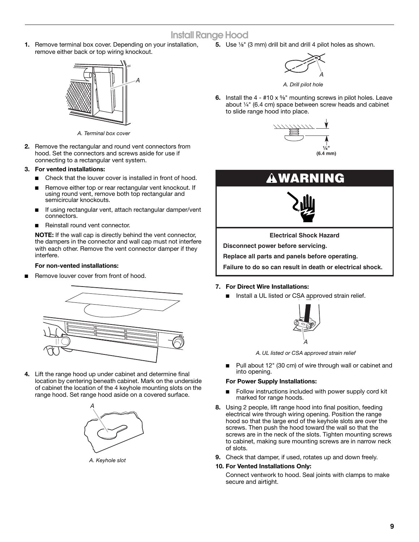### **Install Range Hood**

**1.** Remove terminal box cover. Depending on your installation, remove either back or top wiring knockout.



*A. Terminal box cover*

- **2.** Remove the rectangular and round vent connectors from hood. Set the connectors and screws aside for use if connecting to a rectangular vent system.
- **3. For vented installations:**
	- Check that the louver cover is installed in front of hood.
	- Remove either top or rear rectangular vent knockout. If using round vent, remove both top rectangular and semicircular knockouts.
	- If using rectangular vent, attach rectangular damper/vent connectors.
	- Reinstall round vent connector.

**NOTE:** If the wall cap is directly behind the vent connector, the dampers in the connector and wall cap must not interfere with each other. Remove the vent connector damper if they interfere.

#### **For non-vented installations:**

Remove louver cover from front of hood.



**4.** Lift the range hood up under cabinet and determine final location by centering beneath cabinet. Mark on the underside of cabinet the location of the 4 keyhole mounting slots on the range hood. Set range hood aside on a covered surface.



*A. Keyhole slot*

**5.** Use 1/8" (3 mm) drill bit and drill 4 pilot holes as shown.



*A. Drill pilot hole*

**6.** Install the 4 - #10 x <sup>5</sup>/<sub>8</sub>" mounting screws in pilot holes. Leave about  $\frac{1}{4}$ " (6.4 cm) space between screw heads and cabinet to slide range hood into place.







**Electrical Shock Hazard**

**Disconnect power before servicing.**

**Replace all parts and panels before operating.**

**Failure to do so can result in death or electrical shock.**

- **7. For Direct Wire Installations:**
	- Install a UL listed or CSA approved strain relief.



*A. UL listed or CSA approved strain relief*

■ Pull about 12" (30 cm) of wire through wall or cabinet and into opening.

#### **For Power Supply Installations:**

- Follow instructions included with power supply cord kit marked for range hoods.
- **8.** Using 2 people, lift range hood into final position, feeding electrical wire through wiring opening. Position the range hood so that the large end of the keyhole slots are over the screws. Then push the hood toward the wall so that the screws are in the neck of the slots. Tighten mounting screws to cabinet, making sure mounting screws are in narrow neck of slots.
- **9.** Check that damper, if used, rotates up and down freely.

#### **10. For Vented Installations Only:**

Connect ventwork to hood. Seal joints with clamps to make secure and airtight.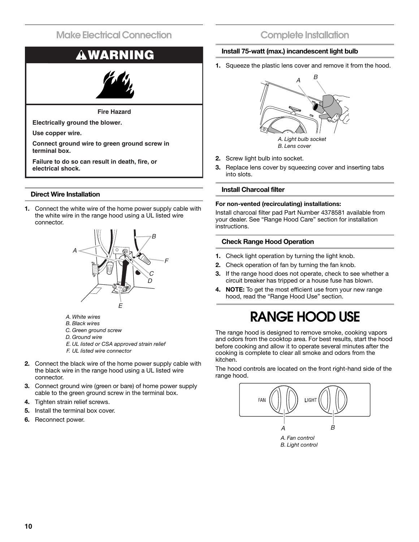### **Make Electrical Connection**

# **WARNING**

**Fire Hazard**

**Electrically ground the blower.**

**Use copper wire.**

**Connect ground wire to green ground screw in terminal box.**

**Failure to do so can result in death, fire, or electrical shock.**

### **Direct Wire Installation**

**1.** Connect the white wire of the home power supply cable with the white wire in the range hood using a UL listed wire connector.



- *A. White wires*
- *B. Black wires*
- *C. Green ground screw*
- *D. Ground wire*
- *E. UL listed or CSA approved strain relief*
- *F. UL listed wire connector*
- **2.** Connect the black wire of the home power supply cable with the black wire in the range hood using a UL listed wire connector.
- **3.** Connect ground wire (green or bare) of home power supply cable to the green ground screw in the terminal box.
- **4.** Tighten strain relief screws.
- **5.** Install the terminal box cover.
- **6.** Reconnect power.

### **Complete Installation**

### **Install 75-watt (max.) incandescent light bulb**

**1.** Squeeze the plastic lens cover and remove it from the hood.



**2.** Screw light bulb into socket.

**3.** Replace lens cover by squeezing cover and inserting tabs into slots.

### **Install Charcoal filter**

### **For non-vented (recirculating) installations:**

Install charcoal filter pad Part Number 4378581 available from your dealer. See "Range Hood Care" section for installation instructions.

### **Check Range Hood Operation**

- **1.** Check light operation by turning the light knob.
- **2.** Check operation of fan by turning the fan knob.
- **3.** If the range hood does not operate, check to see whether a circuit breaker has tripped or a house fuse has blown.
- **4. NOTE:** To get the most efficient use from your new range hood, read the "Range Hood Use" section.

# **RANGE HOOD USE**

The range hood is designed to remove smoke, cooking vapors and odors from the cooktop area. For best results, start the hood before cooking and allow it to operate several minutes after the cooking is complete to clear all smoke and odors from the kitchen.

The hood controls are located on the front right-hand side of the range hood.

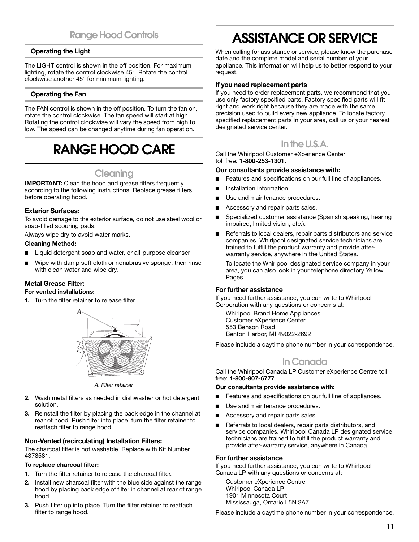### **Range Hood Controls**

### **Operating the Light**

The LIGHT control is shown in the off position. For maximum lighting, rotate the control clockwise 45°. Rotate the control clockwise another 45° for minimum lighting.

### **Operating the Fan**

The FAN control is shown in the off position. To turn the fan on, rotate the control clockwise. The fan speed will start at high. Rotating the control clockwise will vary the speed from high to low. The speed can be changed anytime during fan operation.

# **RANGE HOOD CARE**

### **Cleaning**

**IMPORTANT:** Clean the hood and grease filters frequently according to the following instructions. Replace grease filters before operating hood.

### **Exterior Surfaces:**

To avoid damage to the exterior surface, do not use steel wool or soap-filled scouring pads.

Always wipe dry to avoid water marks.

### **Cleaning Method:**

- Liquid detergent soap and water, or all-purpose cleanser
- Wipe with damp soft cloth or nonabrasive sponge, then rinse with clean water and wipe dry.

### **Metal Grease Filter:**

### **For vented installations:**

**1.** Turn the filter retainer to release filter.



*A. Filter retainer*

- **2.** Wash metal filters as needed in dishwasher or hot detergent solution.
- **3.** Reinstall the filter by placing the back edge in the channel at rear of hood. Push filter into place, turn the filter retainer to reattach filter to range hood.

### **Non-Vented (recirculating) Installation Filters:**

The charcoal filter is not washable. Replace with Kit Number 4378581.

### **To replace charcoal filter:**

- **1.** Turn the filter retainer to release the charcoal filter.
- **2.** Install new charcoal filter with the blue side against the range hood by placing back edge of filter in channel at rear of range hood.
- **3.** Push filter up into place. Turn the filter retainer to reattach filter to range hood.

# **ASSISTANCE OR SERVICE**

When calling for assistance or service, please know the purchase date and the complete model and serial number of your appliance. This information will help us to better respond to your request.

### **If you need replacement parts**

If you need to order replacement parts, we recommend that you use only factory specified parts. Factory specified parts will fit right and work right because they are made with the same precision used to build every new appliance. To locate factory specified replacement parts in your area, call us or your nearest designated service center.

### **In the U.S.A.**

Call the Whirlpool Customer eXperience Center toll free: **1-800-253-1301.**

### **Our consultants provide assistance with:**

- Features and specifications on our full line of appliances.
- Installation information.
- Use and maintenance procedures.
- Accessory and repair parts sales.
- Specialized customer assistance (Spanish speaking, hearing impaired, limited vision, etc.).
- Referrals to local dealers, repair parts distributors and service companies. Whirlpool designated service technicians are trained to fulfill the product warranty and provide afterwarranty service, anywhere in the United States.

To locate the Whirlpool designated service company in your area, you can also look in your telephone directory Yellow Pages.

### **For further assistance**

If you need further assistance, you can write to Whirlpool Corporation with any questions or concerns at:

Whirlpool Brand Home Appliances Customer eXperience Center 553 Benson Road Benton Harbor, MI 49022-2692

Please include a daytime phone number in your correspondence.

### **In Canada**

Call the Whirlpool Canada LP Customer eXperience Centre toll free: **1-800-807-6777**.

### **Our consultants provide assistance with:**

- Features and specifications on our full line of appliances.
- Use and maintenance procedures.
- Accessory and repair parts sales.
- Referrals to local dealers, repair parts distributors, and service companies. Whirlpool Canada LP designated service technicians are trained to fulfill the product warranty and provide after-warranty service, anywhere in Canada.

### **For further assistance**

If you need further assistance, you can write to Whirlpool Canada LP with any questions or concerns at:

Customer eXperience Centre Whirlpool Canada LP 1901 Minnesota Court Mississauga, Ontario L5N 3A7

Please include a daytime phone number in your correspondence.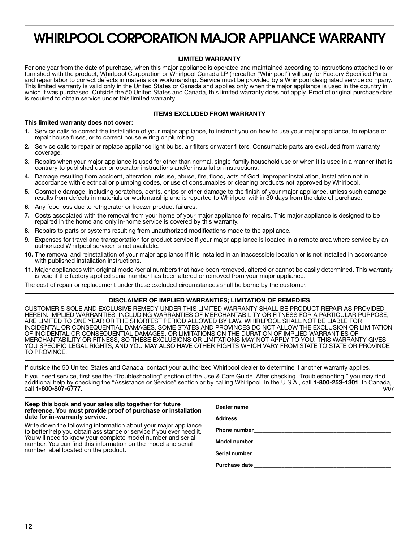# **WHIRLPOOL CORPORATION MAJOR APPLIANCE WARRANTY**

### **LIMITED WARRANTY**

For one year from the date of purchase, when this major appliance is operated and maintained according to instructions attached to or furnished with the product, Whirlpool Corporation or Whirlpool Canada LP (hereafter "Whirlpool") will pay for Factory Specified Parts and repair labor to correct defects in materials or workmanship. Service must be provided by a Whirlpool designated service company. This limited warranty is valid only in the United States or Canada and applies only when the major appliance is used in the country in which it was purchased. Outside the 50 United States and Canada, this limited warranty does not apply. Proof of original purchase date is required to obtain service under this limited warranty.

### **ITEMS EXCLUDED FROM WARRANTY**

### **This limited warranty does not cover:**

- **1.** Service calls to correct the installation of your major appliance, to instruct you on how to use your major appliance, to replace or repair house fuses, or to correct house wiring or plumbing.
- **2.** Service calls to repair or replace appliance light bulbs, air filters or water filters. Consumable parts are excluded from warranty coverage.
- **3.** Repairs when your major appliance is used for other than normal, single-family household use or when it is used in a manner that is contrary to published user or operator instructions and/or installation instructions.
- **4.** Damage resulting from accident, alteration, misuse, abuse, fire, flood, acts of God, improper installation, installation not in accordance with electrical or plumbing codes, or use of consumables or cleaning products not approved by Whirlpool.
- **5.** Cosmetic damage, including scratches, dents, chips or other damage to the finish of your major appliance, unless such damage results from defects in materials or workmanship and is reported to Whirlpool within 30 days from the date of purchase.
- **6.** Any food loss due to refrigerator or freezer product failures.
- **7.** Costs associated with the removal from your home of your major appliance for repairs. This major appliance is designed to be repaired in the home and only in-home service is covered by this warranty.
- **8.** Repairs to parts or systems resulting from unauthorized modifications made to the appliance.
- **9.** Expenses for travel and transportation for product service if your major appliance is located in a remote area where service by an authorized Whirlpool servicer is not available.
- **10.** The removal and reinstallation of your major appliance if it is installed in an inaccessible location or is not installed in accordance with published installation instructions.
- **11.** Major appliances with original model/serial numbers that have been removed, altered or cannot be easily determined. This warranty is void if the factory applied serial number has been altered or removed from your major appliance.

The cost of repair or replacement under these excluded circumstances shall be borne by the customer.

### **DISCLAIMER OF IMPLIED WARRANTIES; LIMITATION OF REMEDIES**

CUSTOMER'S SOLE AND EXCLUSIVE REMEDY UNDER THIS LIMITED WARRANTY SHALL BE PRODUCT REPAIR AS PROVIDED HEREIN. IMPLIED WARRANTIES, INCLUDING WARRANTIES OF MERCHANTABILITY OR FITNESS FOR A PARTICULAR PURPOSE, ARE LIMITED TO ONE YEAR OR THE SHORTEST PERIOD ALLOWED BY LAW. WHIRLPOOL SHALL NOT BE LIABLE FOR INCIDENTAL OR CONSEQUENTIAL DAMAGES. SOME STATES AND PROVINCES DO NOT ALLOW THE EXCLUSION OR LIMITATION OF INCIDENTAL OR CONSEQUENTIAL DAMAGES, OR LIMITATIONS ON THE DURATION OF IMPLIED WARRANTIES OF MERCHANTABILITY OR FITNESS, SO THESE EXCLUSIONS OR LIMITATIONS MAY NOT APPLY TO YOU. THIS WARRANTY GIVES YOU SPECIFIC LEGAL RIGHTS, AND YOU MAY ALSO HAVE OTHER RIGHTS WHICH VARY FROM STATE TO STATE OR PROVINCE TO PROVINCE.

If outside the 50 United States and Canada, contact your authorized Whirlpool dealer to determine if another warranty applies.

If you need service, first see the "Troubleshooting" section of the Use & Care Guide. After checking "Troubleshooting," you may find additional help by checking the "Assistance or Service" section or by calling Whirlpool. In the U.S.A., call **1-800-253-1301**. In Canada, **call 1-800-807-6777.** 9/07

#### **Keep this book and your sales slip together for future reference. You must provide proof of purchase or installation date for in-warranty service.**

Write down the following information about your major appliance to better help you obtain assistance or service if you ever need it. You will need to know your complete model number and serial number. You can find this information on the model and serial number label located on the product.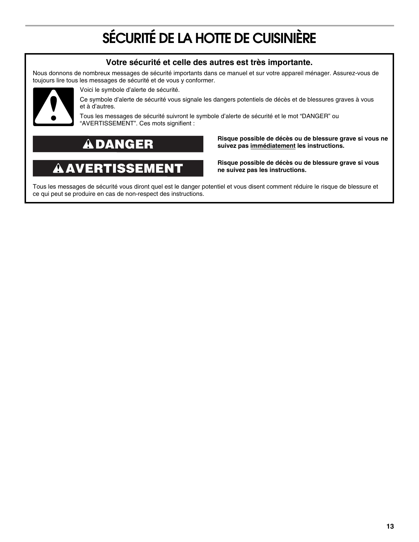# **SÉCURITÉ DE LA HOTTE DE CUISINIÈRE**

### **Votre sécurité et celle des autres est très importante.**

Nous donnons de nombreux messages de sécurité importants dans ce manuel et sur votre appareil ménager. Assurez-vous de toujours lire tous les messages de sécurité et de vous y conformer.



Voici le symbole d'alerte de sécurité.

Ce symbole d'alerte de sécurité vous signale les dangers potentiels de décès et de blessures graves à vous et à d'autres.

Tous les messages de sécurité suivront le symbole d'alerte de sécurité et le mot "DANGER" ou "AVERTISSEMENT". Ces mots signifient :

### $\blacktriangle$ **DANGER**

### **AVERTISSEMENT**

**Risque possible de décès ou de blessure grave si vous ne suivez pas immédiatement les instructions.** 

**Risque possible de décès ou de blessure grave si vous ne suivez pas les instructions.** 

Tous les messages de sécurité vous diront quel est le danger potentiel et vous disent comment réduire le risque de blessure et ce qui peut se produire en cas de non-respect des instructions.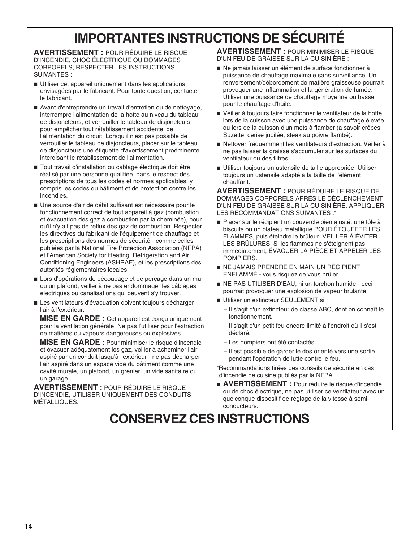# **IMPORTANTES INSTRUCTIONS DE SÉCURITÉ**

**AVERTISSEMENT :** POUR RÉDUIRE LE RISQUE D'INCENDIE, CHOC ÉLECTRIQUE OU DOMMAGES CORPORELS, RESPECTER LES INSTRUCTIONS SUIVANTES :

- Utiliser cet appareil uniquement dans les applications envisagées par le fabricant. Pour toute question, contacter le fabricant.
- Avant d'entreprendre un travail d'entretien ou de nettoyage, interrompre l'alimentation de la hotte au niveau du tableau de disjoncteurs, et verrouiller le tableau de disjoncteurs pour empêcher tout rétablissement accidentel de l'alimentation du circuit. Lorsqu'il n'est pas possible de verrouiller le tableau de disjoncteurs, placer sur le tableau de disjoncteurs une étiquette d'avertissement proéminente interdisant le rétablissement de l'alimentation.
- Tout travail d'installation ou câblage électrique doit être réalisé par une personne qualifiée, dans le respect des prescriptions de tous les codes et normes applicables, y compris les codes du bâtiment et de protection contre les incendies.
- Une source d'air de débit suffisant est nécessaire pour le fonctionnement correct de tout appareil à gaz (combustion et évacuation des gaz à combustion par la cheminée), pour qu'il n'y ait pas de reflux des gaz de combustion. Respecter les directives du fabricant de l'équipement de chauffage et les prescriptions des normes de sécurité - comme celles publiées par la National Fire Protection Association (NFPA) et l'American Society for Heating, Refrigeration and Air Conditioning Engineers (ASHRAE), et les prescriptions des autorités réglementaires locales.
- Lors d'opérations de découpage et de perçage dans un mur ou un plafond, veiller à ne pas endommager les câblages électriques ou canalisations qui peuvent s'y trouver.
- Les ventilateurs d'évacuation doivent toujours décharger l'air à l'extérieur.

 **MISE EN GARDE :** Cet appareil est conçu uniquement pour la ventilation générale. Ne pas l'utiliser pour l'extraction de matières ou vapeurs dangereuses ou explosives.

 **MISE EN GARDE :** Pour minimiser le risque d'incendie et évacuer adéquatement les gaz, veiller à acheminer l'air aspiré par un conduit jusqu'à l'extérieur - ne pas décharger l'air aspiré dans un espace vide du bâtiment comme une cavité murale, un plafond, un grenier, un vide sanitaire ou un garage.

**AVERTISSEMENT :** POUR RÉDUIRE LE RISQUE D'INCENDIE, UTILISER UNIQUEMENT DES CONDUITS MÉTALLIQUES.

**AVERTISSEMENT :** POUR MINIMISER LE RISQUE D'UN FEU DE GRAISSE SUR LA CUISINIÈRE :

- Ne jamais laisser un élément de surface fonctionner à puissance de chauffage maximale sans surveillance. Un renversement/débordement de matière graisseuse pourrait provoquer une inflammation et la génération de fumée. Utiliser une puissance de chauffage moyenne ou basse pour le chauffage d'huile.
- Veiller à toujours faire fonctionner le ventilateur de la hotte lors de la cuisson avec une puissance de chauffage élevée ou lors de la cuisson d'un mets à flamber (à savoir crêpes Suzette, cerise jubilée, steak au poivre flambé).
- Nettoyer fréquemment les ventilateurs d'extraction. Veiller à ne pas laisser la graisse s'accumuler sur les surfaces du ventilateur ou des filtres.
- Utiliser toujours un ustensile de taille appropriée. Utiliser toujours un ustensile adapté à la taille de l'élément chauffant.

**AVERTISSEMENT :** POUR RÉDUIRE LE RISQUE DE DOMMAGES CORPORELS APRÈS LE DÉCLENCHEMENT D'UN FEU DE GRAISSE SUR LA CUISINIÈRE, APPLIQUER LES RECOMMANDATIONS SUIVANTES :<sup>a</sup>

- Placer sur le récipient un couvercle bien ajusté, une tôle à biscuits ou un plateau métallique POUR ÉTOUFFER LES FLAMMES, puis éteindre le brûleur. VEILLER À ÉVITER LES BRÛLURES. Si les flammes ne s'éteignent pas immédiatement, ÉVACUER LA PIÈCE ET APPELER LES **POMPIERS**
- NE JAMAIS PRENDRE EN MAIN UN RÉCIPIENT ENFLAMMÉ - vous risquez de vous brûler.
- NE PAS UTILISER D'EAU, ni un torchon humide ceci pourrait provoquer une explosion de vapeur brûlante.
- Utiliser un extincteur SEULEMENT si :
	- Il s'agit d'un extincteur de classe ABC, dont on connaît le fonctionnement.
	- Il s'agit d'un petit feu encore limité à l'endroit où il s'est déclaré.
	- Les pompiers ont été contactés.
	- Il est possible de garder le dos orienté vers une sortie pendant l'opération de lutte contre le feu.

a Recommandations tirées des conseils de sécurité en cas d'incendie de cuisine publiés par la NFPA.

■ **AVERTISSEMENT :** Pour réduire le risque d'incendie ou de choc électrique, ne pas utiliser ce ventilateur avec un quelconque dispositif de réglage de la vitesse à semiconducteurs.

# **CONSERVEZ CES INSTRUCTIONS**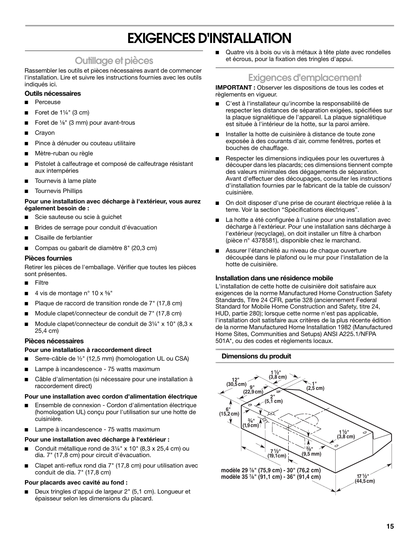# **EXIGENCES D'INSTALLATION**

### **Outillage et pièces**

Rassembler les outils et pièces nécessaires avant de commencer l'installation. Lire et suivre les instructions fournies avec les outils indiqués ici.

### **Outils nécessaires**

- Perceuse
- Foret de  $1\frac{1}{4}$ " (3 cm)
- Foret de  $\frac{1}{8}$ " (3 mm) pour avant-trous
- **Crayon**
- Pince à dénuder ou couteau utilitaire
- Mètre-ruban ou règle
- Pistolet à calfeutrage et composé de calfeutrage résistant aux intempéries
- Tournevis à lame plate
- Tournevis Phillips

### **Pour une installation avec décharge à l'extérieur, vous aurez également besoin de :**

- Scie sauteuse ou scie à guichet
- Brides de serrage pour conduit d'évacuation
- Cisaille de ferblantier
- Compas ou gabarit de diamètre 8" (20,3 cm)

### **Pièces fournies**

Retirer les pièces de l'emballage. Vérifier que toutes les pièces sont présentes.

- **Filtre**
- 4 vis de montage n° 10 x  $\frac{5}{8}$ "
- Plaque de raccord de transition ronde de 7" (17,8 cm)
- Module clapet/connecteur de conduit de 7" (17,8 cm)
- Module clapet/connecteur de conduit de  $3\frac{1}{4}$ " x 10" (8,3 x 25,4 cm)

### **Pièces nécessaires**

### **Pour une installation à raccordement direct**

- Serre-câble de 1/2" (12,5 mm) (homologation UL ou CSA)
- Lampe à incandescence 75 watts maximum
- Câble d'alimentation (si nécessaire pour une installation à raccordement direct)

### **Pour une installation avec cordon d'alimentation électrique**

- Ensemble de connexion Cordon d'alimentation électrique (homologation UL) conçu pour l'utilisation sur une hotte de cuisinière.
- Lampe à incandescence 75 watts maximum

### **Pour une installation avec décharge à l'extérieur :**

- Conduit métallique rond de 3¼" x 10" (8,3 x 25,4 cm) ou dia. 7" (17,8 cm) pour circuit d'évacuation.
- Clapet anti-reflux rond dia 7" (17,8 cm) pour utilisation avec conduit de dia. 7" (17,8 cm)

### **Pour placards avec cavité au fond :**

Deux tringles d'appui de largeur 2" (5,1 cm). Longueur et épaisseur selon les dimensions du placard.

Quatre vis à bois ou vis à métaux à tête plate avec rondelles et écrous, pour la fixation des tringles d'appui.

### **Exigences d'emplacement**

**IMPORTANT :** Observer les dispositions de tous les codes et règlements en vigueur.

- C'est à l'installateur qu'incombe la responsabilité de respecter les distances de séparation exigées, spécifiées sur la plaque signalétique de l'appareil. La plaque signalétique est située à l'intérieur de la hotte, sur la paroi arrière.
- Installer la hotte de cuisinière à distance de toute zone exposée à des courants d'air, comme fenêtres, portes et bouches de chauffage.
- Respecter les dimensions indiquées pour les ouvertures à découper dans les placards; ces dimensions tiennent compte des valeurs minimales des dégagements de séparation. Avant d'effectuer des découpages, consulter les instructions d'installation fournies par le fabricant de la table de cuisson/ cuisinière.
- On doit disposer d'une prise de courant électrique reliée à la terre. Voir la section "Spécifications électriques".
- La hotte a été configurée à l'usine pour une installation avec décharge à l'extérieur. Pour une installation sans décharge à l'extérieur (recyclage), on doit installer un filtre à charbon (pièce n° 4378581), disponible chez le marchand.
- Assurer l'étanchéité au niveau de chaque ouverture découpée dans le plafond ou le mur pour l'installation de la hotte de cuisinière.

### **Installation dans une résidence mobile**

L'installation de cette hotte de cuisinière doit satisfaire aux exigences de la norme Manufactured Home Construction Safety Standards, Titre 24 CFR, partie 328 (anciennement Federal Standard for Mobile Home Construction and Safety, titre 24, HUD, partie 280); lorsque cette norme n'est pas applicable, l'installation doit satisfaire aux critères de la plus récente édition de la norme Manufactured Home Installation 1982 (Manufactured Home Sites, Communities and Setups) ANSI A225.1/NFPA 501A\*, ou des codes et règlements locaux.

### **Dimensions du produit**

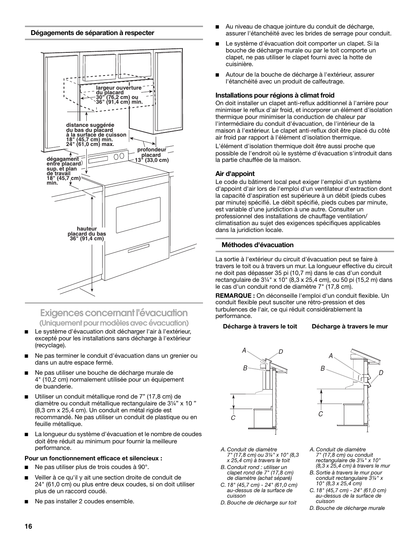### **Dégagements de séparation à respecter**



### **Exigences concernant l'évacuation (Uniquement pour modèles avec évacuation)**

- Le système d'évacuation doit décharger l'air à l'extérieur, excepté pour les installations sans décharge à l'extérieur (recyclage).
- Ne pas terminer le conduit d'évacuation dans un grenier ou dans un autre espace fermé.
- Ne pas utiliser une bouche de décharge murale de 4" (10,2 cm) normalement utilisée pour un équipement de buanderie.
- Utiliser un conduit métallique rond de 7" (17,8 cm) de diamètre ou conduit métallique rectangulaire de 3¼" x 10 " (8,3 cm x 25,4 cm). Un conduit en métal rigide est recommandé. Ne pas utiliser un conduit de plastique ou en feuille métallique.
- La longueur du système d'évacuation et le nombre de coudes doit être réduit au minimum pour fournir la meilleure performance.

### **Pour un fonctionnement efficace et silencieux :**

- Ne pas utiliser plus de trois coudes à 90°.
- Veiller à ce qu'il y ait une section droite de conduit de 24" (61,0 cm) ou plus entre deux coudes, si on doit utiliser plus de un raccord coudé.
- Ne pas installer 2 coudes ensemble.
- Au niveau de chaque jointure du conduit de décharge, assurer l'étanchéité avec les brides de serrage pour conduit.
- Le système d'évacuation doit comporter un clapet. Si la bouche de décharge murale ou par le toit comporte un clapet, ne pas utiliser le clapet fourni avec la hotte de cuisinière.
- Autour de la bouche de décharge à l'extérieur, assurer l'étanchéité avec un produit de calfeutrage.

### **Installations pour régions à climat froid**

On doit installer un clapet anti-reflux additionnel à l'arrière pour minimiser le reflux d'air froid, et incorporer un élément d'isolation thermique pour minimiser la conduction de chaleur par l'intermédiaire du conduit d'évacuation, de l'intérieur de la maison à l'extérieur. Le clapet anti-reflux doit être placé du côté air froid par rapport à l'élément d'isolation thermique.

L'élément d'isolation thermique doit être aussi proche que possible de l'endroit où le système d'évacuation s'introduit dans la partie chauffée de la maison.

### **Air d'appoint**

Le code du bâtiment local peut exiger l'emploi d'un système d'appoint d'air lors de l'emploi d'un ventilateur d'extraction dont la capacité d'aspiration est supérieure à un débit (pieds cubes par minute) spécifié. Le débit spécifié, pieds cubes par minute, est variable d'une juridiction à une autre. Consulter un professionnel des installations de chauffage ventilation/ climatisation au sujet des exigences spécifiques applicables dans la juridiction locale.

### **Méthodes d'évacuation**

La sortie à l'extérieur du circuit d'évacuation peut se faire à travers le toit ou à travers un mur. La longueur effective du circuit ne doit pas dépasser 35 pi (10,7 m) dans le cas d'un conduit rectangulaire de 3¼" x 10" (8,3 x 25,4 cm), ou 50 pi (15,2 m) dans le cas d'un conduit rond de diamètre 7" (17,8 cm).

**REMARQUE :** On déconseille l'emploi d'un conduit flexible. Un conduit flexible peut susciter une rétro-pression et des turbulences de l'air, ce qui réduit considérablement la performance.

### **Décharge à travers le toit Décharge à travers le mur**





- *A. Conduit de diamètre 7" (17,8 cm) ou 3¼" x 10" (8,3 x 25,4 cm) à travers le toit*
- *B. Conduit rond : utiliser un clapet rond de 7" (17,8 cm) de diamètre (achat séparé)*
- *C. 18" (45,7 cm) 24" (61,0 cm) au-dessus de la surface de cuisson*
- *D. Bouche de décharge sur toit*
- *A. Conduit de diamètre 7" (17,8 cm) ou conduit rectangulaire de 3¼" x 10" (8,3 x 25,4 cm) à travers le mur*
- *B. Sortie à travers le mur pour conduit rectangulaire 3¼" x 10" (8,3 x 25,4 cm)*
- *C. 18" (45,7 cm) 24" (61,0 cm) au-dessus de la surface de cuisson*
- *D. Bouche de décharge murale*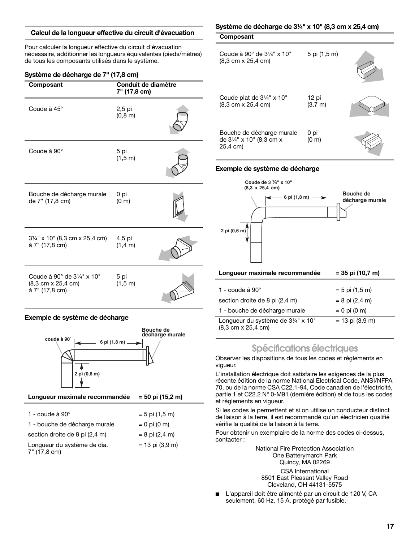### **Calcul de la longueur effective du circuit d'évacuation**

Pour calculer la longueur effective du circuit d'évacuation nécessaire, additionner les longueurs équivalentes (pieds/mètres) de tous les composants utilisés dans le système.

### **Système de décharge de 7" (17,8 cm)**

| Composant                                                          | Conduit de diamètre<br>7" (17,8 cm) |  |
|--------------------------------------------------------------------|-------------------------------------|--|
| Coude à 45°                                                        | 2,5 pi<br>$(0, 8 \, \text{m})$      |  |
| Coude à 90°                                                        | 5 pi<br>(1, 5 m)                    |  |
| Bouche de décharge murale<br>de 7" (17,8 cm)                       | 0 pi<br>(0 <sub>m</sub> )           |  |
| $3\frac{1}{4}$ " x 10" (8,3 cm x 25,4 cm)<br>à 7" (17,8 cm)        | 4,5 pi<br>(1,4 m)                   |  |
| Coude à 90° de 31⁄4" x 10"<br>(8,3 cm x 25,4 cm)<br>à 7" (17,8 cm) | 5 pi<br>(1, 5 m)                    |  |

### **Exemple de système de décharge**



| 1 - coude à 90 $^{\circ}$                                                                                                                                                                                                                                                                                                                                                                                           | $= 5$ pi (1,5 m)                  |
|---------------------------------------------------------------------------------------------------------------------------------------------------------------------------------------------------------------------------------------------------------------------------------------------------------------------------------------------------------------------------------------------------------------------|-----------------------------------|
| 1 - bouche de décharge murale                                                                                                                                                                                                                                                                                                                                                                                       | $= 0$ pi $(0 \text{ m})$          |
| section droite de 8 pi (2,4 m)                                                                                                                                                                                                                                                                                                                                                                                      | $= 8$ pi $(2,4 \text{ m})$        |
| Longueur du système de dia.<br>$\overline{1}$ $\overline{1}$ $\overline{1}$ $\overline{1}$ $\overline{1}$ $\overline{1}$ $\overline{1}$ $\overline{1}$ $\overline{1}$ $\overline{1}$ $\overline{1}$ $\overline{1}$ $\overline{1}$ $\overline{1}$ $\overline{1}$ $\overline{1}$ $\overline{1}$ $\overline{1}$ $\overline{1}$ $\overline{1}$ $\overline{1}$ $\overline{1}$ $\overline{1}$ $\overline{1}$ $\overline{$ | $= 13 \text{ pi} (3.9 \text{ m})$ |

7" (17,8 cm)

### **Système de décharge de 3¹⁄₄" x 10" (8,3 cm x 25,4 cm)**

#### **Composant**

| Coude à 90 $^{\circ}$ de 3 $\frac{1}{4}$ " x 10" | 5 pi (1,5 m) |  |
|--------------------------------------------------|--------------|--|
| $(8,3 \text{ cm} \times 25,4 \text{ cm})$        |              |  |



Coude plat de  $3\frac{1}{4}$ " x 10" (8,3 cm x 25,4 cm) 12 pi  $(3,7, m)$ 

Bouche de décharge murale de 31/4" x 10" (8,3 cm x 25,4 cm) 0 pi  $(0<sub>m</sub>)$ 



# **Exemple de système de décharge**



### **Spécifications électriques**

Observer les dispositions de tous les codes et règlements en vigueur.

L'installation électrique doit satisfaire les exigences de la plus récente édition de la norme National Electrical Code, ANSI/NFPA 70, ou de la norme CSA C22.1-94, Code canadien de l'électricité, partie 1 et C22.2 N° 0-M91 (dernière édition) et de tous les codes et règlements en vigueur.

Si les codes le permettent et si on utilise un conducteur distinct de liaison à la terre, il est recommandé qu'un électricien qualifié vérifie la qualité de la liaison à la terre.

Pour obtenir un exemplaire de la norme des codes ci-dessus, contacter :

> National Fire Protection Association One Batterymarch Park Quincy, MA 02269 CSA International 8501 East Pleasant Valley Road

Cleveland, OH 44131-5575

L'appareil doit être alimenté par un circuit de 120 V, CA seulement, 60 Hz, 15 A, protégé par fusible.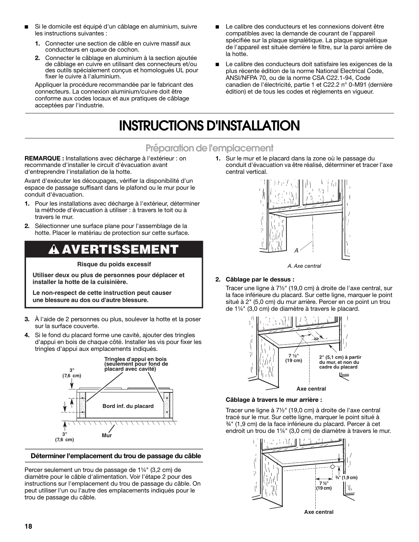- Si le domicile est équipé d'un câblage en aluminium, suivre les instructions suivantes :
	- **1.** Connecter une section de câble en cuivre massif aux conducteurs en queue de cochon.
	- **2.** Connecter le câblage en aluminium à la section ajoutée de câblage en cuivre en utilisant des connecteurs et/ou des outils spécialement conçus et homologués UL pour fixer le cuivre à l'aluminium.

Appliquer la procédure recommandée par le fabricant des connecteurs. La connexion aluminium/cuivre doit être conforme aux codes locaux et aux pratiques de câblage acceptées par l'industrie.

- Le calibre des conducteurs et les connexions doivent être compatibles avec la demande de courant de l'appareil spécifiée sur la plaque signalétique. La plaque signalétique de l'appareil est située derrière le filtre, sur la paroi arrière de la hotte.
- Le calibre des conducteurs doit satisfaire les exigences de la plus récente édition de la norme National Electrical Code, ANSI/NFPA 70, ou de la norme CSA C22.1-94, Code canadien de l'électricité, partie 1 et C22.2 n° 0-M91 (dernière édition) et de tous les codes et règlements en vigueur.

# **INSTRUCTIONS D'INSTALLATION**

### **Préparation de l'emplacement**

**REMARQUE :** Installations avec décharge à l'extérieur : on recommande d'installer le circuit d'évacuation avant d'entreprendre l'installation de la hotte.

Avant d'exécuter les découpages, vérifier la disponibilité d'un espace de passage suffisant dans le plafond ou le mur pour le conduit d'évacuation.

- **1.** Pour les installations avec décharge à l'extérieur, déterminer la méthode d'évacuation à utiliser : à travers le toit ou à travers le mur.
- **2.** Sélectionner une surface plane pour l'assemblage de la hotte. Placer le matériau de protection sur cette surface.

### **AVERTISSEM**

### **Risque du poids excessif**

**Utiliser deux ou plus de personnes pour déplacer et installer la hotte de la cuisinière.**

**Le non-respect de cette instruction peut causer une blessure au dos ou d'autre blessure.**

- **3.** À l'aide de 2 personnes ou plus, soulever la hotte et la poser sur la surface couverte.
- **4.** Si le fond du placard forme une cavité, ajouter des tringles d'appui en bois de chaque côté. Installer les vis pour fixer les tringles d'appui aux emplacements indiqués.



### **Déterminer l'emplacement du trou de passage du câble**

Percer seulement un trou de passage de 1¼" (3,2 cm) de diamètre pour le câble d'alimentation. Voir l'étape 2 pour des instructions sur l'emplacement du trou de passage du câble. On peut utiliser l'un ou l'autre des emplacements indiqués pour le trou de passage du câble.

**1.** Sur le mur et le placard dans la zone où le passage du conduit d'évacuation va être réalisé, déterminer et tracer l'axe central vertical.





### **2. Câblage par le dessus :**

Tracer une ligne à 7½" (19,0 cm) à droite de l'axe central, sur la face inférieure du placard. Sur cette ligne, marquer le point situé à 2" (5,0 cm) du mur arrière. Percer en ce point un trou de 1¼" (3,0 cm) de diamètre à travers le placard.



### **Câblage à travers le mur arrière :**

Tracer une ligne à 7½" (19,0 cm) à droite de l'axe central tracé sur le mur. Sur cette ligne, marquer le point situé à ¾" (1,9 cm) de la face inférieure du placard. Percer à cet endroit un trou de 1¼" (3,0 cm) de diamètre à travers le mur.

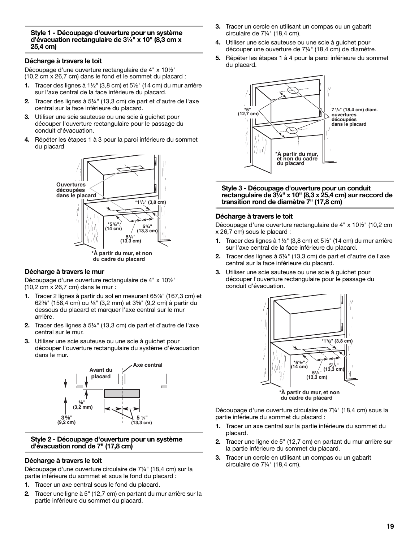**Style 1 - Découpage d'ouverture pour un système d'évacuation rectangulaire de 3¼" x 10" (8,3 cm x 25,4 cm)**

### **Décharge à travers le toit**

Découpage d'une ouverture rectangulaire de 4" x 10½" (10,2 cm x 26,7 cm) dans le fond et le sommet du placard :

- **1.** Tracer des lignes à 1½" (3,8 cm) et 5½" (14 cm) du mur arrière sur l'axe central de la face inférieure du placard.
- **2.** Tracer des lignes à 5¼" (13,3 cm) de part et d'autre de l'axe central sur la face inférieure du placard.
- **3.** Utiliser une scie sauteuse ou une scie à guichet pour découper l'ouverture rectangulaire pour le passage du conduit d'évacuation.
- **4.** Répéter les étapes 1 à 3 pour la paroi inférieure du sommet du placard



 **du cadre du placard**

### **Décharge à travers le mur**

Découpage d'une ouverture rectangulaire de 4" x 10½" (10,2 cm x 26,7 cm) dans le mur :

- **1.** Tracer 2 lignes à partir du sol en mesurant 65%" (167,3 cm) et 62³⁄₈" (158,4 cm) ou ¹⁄₈" (3,2 mm) et 3⁵⁄₈" (9,2 cm) à partir du dessous du placard et marquer l'axe central sur le mur arrière.
- **2.** Tracer des lignes à 5¼" (13,3 cm) de part et d'autre de l'axe central sur le mur.
- **3.** Utiliser une scie sauteuse ou une scie à guichet pour découper l'ouverture rectangulaire du système d'évacuation dans le mur.



### **Style 2 - Découpage d'ouverture pour un système d'évacuation rond de 7" (17,8 cm)**

#### **Décharge à travers le toit**

Découpage d'une ouverture circulaire de 7¼" (18,4 cm) sur la partie inférieure du sommet et sous le fond du placard :

- **1.** Tracer un axe central sous le fond du placard.
- **2.** Tracer une ligne à 5" (12,7 cm) en partant du mur arrière sur la partie inférieure du sommet du placard.
- **3.** Tracer un cercle en utilisant un compas ou un gabarit circulaire de 7¼" (18,4 cm).
- **4.** Utiliser une scie sauteuse ou une scie à guichet pour découper une ouverture de 7¼" (18,4 cm) de diamètre.
- **5.** Répéter les étapes 1 à 4 pour la paroi inférieure du sommet du placard.



**Style 3 - Découpage d'ouverture pour un conduit rectangulaire de 3¼" x 10" (8,3 x 25,4 cm) sur raccord de transition rond de diamètre 7" (17,8 cm)**

#### **Décharge à travers le toit**

Découpage d'une ouverture rectangulaire de 4" x 10½" (10,2 cm x 26,7 cm) sous le placard :

- **1.** Tracer des lignes à 1½" (3,8 cm) et 5½" (14 cm) du mur arrière sur l'axe central de la face inférieure du placard.
- **2.** Tracer des lignes à 5¼" (13,3 cm) de part et d'autre de l'axe central sur la face inférieure du placard.
- **3.** Utiliser une scie sauteuse ou une scie à guichet pour découper l'ouverture rectangulaire pour le passage du conduit d'évacuation.



Découpage d'une ouverture circulaire de 7¼" (18,4 cm) sous la partie inférieure du sommet du placard :

- **1.** Tracer un axe central sur la partie inférieure du sommet du placard.
- **2.** Tracer une ligne de 5" (12,7 cm) en partant du mur arrière sur la partie inférieure du sommet du placard.
- **3.** Tracer un cercle en utilisant un compas ou un gabarit circulaire de 7¼" (18,4 cm).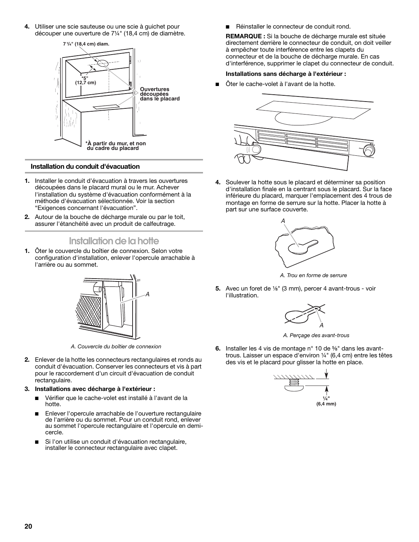**4.** Utiliser une scie sauteuse ou une scie à guichet pour découper une ouverture de 7¼" (18,4 cm) de diamètre.



### **Installation du conduit d'évacuation**

- **1.** Installer le conduit d'évacuation à travers les ouvertures découpées dans le placard mural ou le mur. Achever l'installation du système d'évacuation conformément à la méthode d'évacuation sélectionnée. Voir la section "Exigences concernant l'évacuation".
- **2.** Autour de la bouche de décharge murale ou par le toit, assurer l'étanchéité avec un produit de calfeutrage.

### **Installation de la hotte**

**1.** Ôter le couvercle du boîtier de connexion. Selon votre configuration d'installation, enlever l'opercule arrachable à l'arrière ou au sommet.



*A. Couvercle du boîtier de connexion*

**2.** Enlever de la hotte les connecteurs rectangulaires et ronds au conduit d'évacuation. Conserver les connecteurs et vis à part pour le raccordement d'un circuit d'évacuation de conduit rectangulaire.

### **3. Installations avec décharge à l'extérieur :**

- Vérifier que le cache-volet est installé à l'avant de la hotte.
- Enlever l'opercule arrachable de l'ouverture rectangulaire de l'arrière ou du sommet. Pour un conduit rond, enlever au sommet l'opercule rectangulaire et l'opercule en demicercle.
- Si l'on utilise un conduit d'évacuation rectangulaire, installer le connecteur rectangulaire avec clapet.

Réinstaller le connecteur de conduit rond.

**REMARQUE :** Si la bouche de décharge murale est située directement derrière le connecteur de conduit, on doit veiller à empêcher toute interférence entre les clapets du connecteur et de la bouche de décharge murale. En cas d'interférence, supprimer le clapet du connecteur de conduit.

#### **Installations sans décharge à l'extérieur :**

Öter le cache-volet à l'avant de la hotte.



**4.** Soulever la hotte sous le placard et déterminer sa position d'installation finale en la centrant sous le placard. Sur la face inférieure du placard, marquer l'emplacement des 4 trous de montage en forme de serrure sur la hotte. Placer la hotte à part sur une surface couverte.



*A. Trou en forme de serrure*

**5.** Avec un foret de 1/<sub>8</sub>" (3 mm), percer 4 avant-trous - voir l'illustration.



*A. Perçage des avant-trous*

**6.** Installer les 4 vis de montage n° 10 de <sup>5</sup>/<sub>8</sub>" dans les avanttrous. Laisser un espace d'environ ¼" (6,4 cm) entre les têtes des vis et le placard pour glisser la hotte en place.

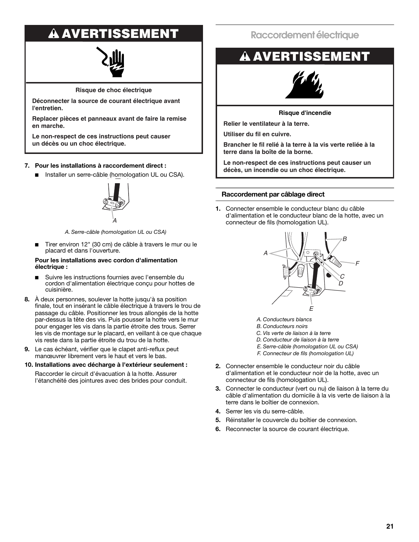# **A AVERTISSEMENT**



**Risque de choc électrique**

**Déconnecter la source de courant électrique avant l'entretien.**

**Replacer pièces et panneaux avant de faire la remise en marche.**

**Le non-respect de ces instructions peut causer un décès ou un choc électrique.**

### **7. Pour les installations à raccordement direct :**

■ Installer un serre-câble (homologation UL ou CSA).



*A. Serre-câble (homologation UL ou CSA)*

Tirer environ 12" (30 cm) de câble à travers le mur ou le placard et dans l'ouverture.

#### **Pour les installations avec cordon d'alimentation électrique :**

- Suivre les instructions fournies avec l'ensemble du cordon d'alimentation électrique conçu pour hottes de cuisinière.
- **8.** À deux personnes, soulever la hotte jusqu'à sa position finale, tout en insérant le câble électrique à travers le trou de passage du câble. Positionner les trous allongés de la hotte par-dessus la tête des vis. Puis pousser la hotte vers le mur pour engager les vis dans la partie étroite des trous. Serrer les vis de montage sur le placard, en veillant à ce que chaque vis reste dans la partie étroite du trou de la hotte.
- **9.** Le cas échéant, vérifier que le clapet anti-reflux peut manœuvrer librement vers le haut et vers le bas.

### **10. Installations avec décharge à l'extérieur seulement :**

Raccorder le circuit d'évacuation à la hotte. Assurer l'étanchéité des jointures avec des brides pour conduit.

### **Raccordement électrique**

### **AVERTISSEMENT**



**Risque d'incendie**

**Relier le ventilateur à la terre.**

**Utiliser du fil en cuivre.**

**Brancher le fil relié à la terre à la vis verte reliée à la terre dans la boîte de la borne.**

**Le non-respect de ces instructions peut causer un décès, un incendie ou un choc électrique.**

### **Raccordement par câblage direct**

**1.** Connecter ensemble le conducteur blanc du câble d'alimentation et le conducteur blanc de la hotte, avec un connecteur de fils (homologation UL).



- *A. Conducteurs blancs*
- *B. Conducteurs noirs*
- *C. Vis verte de liaison à la terre*
- *D. Conducteur de liaison à la terre*
- *E. Serre-câble (homologation UL ou CSA)*
- *F. Connecteur de fils (homologation UL)*
- **2.** Connecter ensemble le conducteur noir du câble d'alimentation et le conducteur noir de la hotte, avec un connecteur de fils (homologation UL).
- **3.** Connecter le conducteur (vert ou nu) de liaison à la terre du câble d'alimentation du domicile à la vis verte de liaison à la terre dans le boîtier de connexion.
- **4.** Serrer les vis du serre-câble.
- **5.** Réinstaller le couvercle du boîtier de connexion.
- **6.** Reconnecter la source de courant électrique.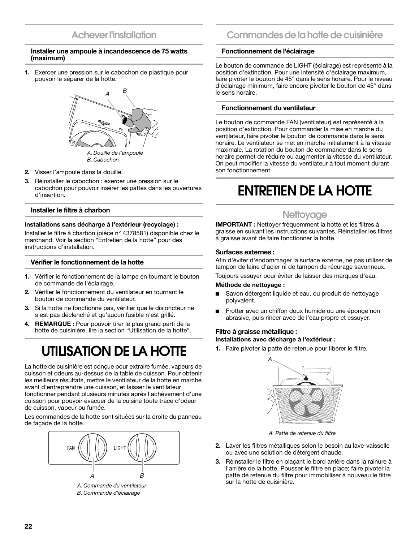### **Achever l'installation**

### **Installer une ampoule à incandescence de 75 watts (maximum)**

**1.** Exercer une pression sur le cabochon de plastique pour pouvoir le séparer de la hotte.



- 
- **2.** Visser l'ampoule dans la douille.
- **3.** Réinstaller le cabochon : exercer une pression sur le cabochon pour pouvoir insérer les pattes dans les ouvertures d'insertion.

### **Installer le filtre à charbon**

### **Installations sans décharge à l'extérieur (recyclage) :**

Installer le filtre à charbon (pièce n° 4378581) disponible chez le marchand. Voir la section "Entretien de la hotte" pour des instructions d'installation.

### **Vérifier le fonctionnement de la hotte**

- **1.** Vérifier le fonctionnement de la lampe en tournant le bouton de commande de l'éclairage.
- **2.** Vérifier le fonctionnement du ventilateur en tournant le bouton de commande du ventilateur.
- **3.** Si la hotte ne fonctionne pas, vérifier que le disjoncteur ne s'est pas déclenché et qu'aucun fusible n'est grillé.
- **4. REMARQUE :** Pour pouvoir tirer le plus grand parti de la hotte de cuisinière, lire la section "Utilisation de la hotte".

# **UTILISATION DE LA HOTTE**

La hotte de cuisinière est conçue pour extraire fumée, vapeurs de cuisson et odeurs au-dessus de la table de cuisson. Pour obtenir les meilleurs résultats, mettre le ventilateur de la hotte en marche avant d'entreprendre une cuisson, et laisser le ventilateur fonctionner pendant plusieurs minutes après l'achèvement d'une cuisson pour pouvoir évacuer de la cuisine toute trace d'odeur de cuisson, vapeur ou fumée.

Les commandes de la hotte sont situées sur la droite du panneau de façade de la hotte.



*A. Commande du ventilateur B. Commande d'éclairage*

### **Commandes de la hotte de cuisinière**

### **Fonctionnement de l'éclairage**

Le bouton de commande de LIGHT (éclairage) est représenté à la position d'extinction. Pour une intensité d'éclairage maximum, faire pivoter le bouton de 45° dans le sens horaire. Pour le niveau d'éclairage minimum, faire encore pivoter le bouton de 45° dans le sens horaire.

#### **Fonctionnement du ventilateur**

Le bouton de commande FAN (ventilateur) est représenté à la position d'extinction. Pour commander la mise en marche du ventilateur, faire pivoter le bouton de commande dans le sens horaire. Le ventilateur se met en marche initialement à la vitesse maximale. La rotation du bouton de commande dans le sens horaire permet de réduire ou augmenter la vitesse du ventilateur. On peut modifier la vitesse du ventilateur à tout moment durant son fonctionnement.

# **ENTRETIEN DE LA HOTTE**

### **Nettoyage**

**IMPORTANT :** Nettoyer fréquemment la hotte et les filtres à graisse en suivant les instructions suivantes. Réinstaller les filtres à graisse avant de faire fonctionner la hotte.

### **Surfaces externes :**

Afin d'éviter d'endommager la surface externe, ne pas utiliser de tampon de laine d'acier ni de tampon de récurage savonneux.

Toujours essuyer pour éviter de laisser des marques d'eau.

#### **Méthode de nettoyage :**

- Savon détergent liquide et eau, ou produit de nettoyage polyvalent.
- Frotter avec un chiffon doux humide ou une éponge non abrasive, puis rincer avec de l'eau propre et essuyer.

### **Filtre à graisse métallique :**

### **Installations avec décharge à l'extérieur :**

**1.** Faire pivoter la patte de retenue pour libérer le filtre.



*A. Patte de retenue du filtre*

- **2.** Laver les filtres métalliques selon le besoin au lave-vaisselle ou avec une solution de détergent chaude.
- **3.** Réinstaller le filtre en plaçant le bord arrière dans la rainure à l'arrière de la hotte. Pousser le filtre en place; faire pivoter la patte de retenue du filtre pour immobiliser à nouveau le filtre sur la hotte de cuisinière.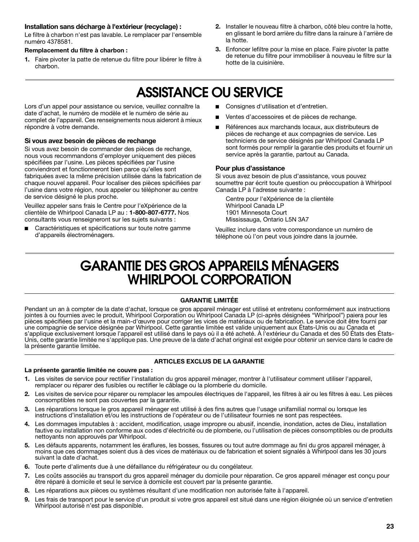### **Installation sans décharge à l'extérieur (recyclage) :**

Le filtre à charbon n'est pas lavable. Le remplacer par l'ensemble numéro 4378581.

### **Remplacement du filtre à charbon :**

- **1.** Faire pivoter la patte de retenue du filtre pour libérer le filtre à charbon.
- **2.** Installer le nouveau filtre à charbon, côté bleu contre la hotte, en glissant le bord arrière du filtre dans la rainure à l'arrière de la hotte.
- **3.** Enfoncer lefiltre pour la mise en place. Faire pivoter la patte de retenue du filtre pour immobiliser à nouveau le filtre sur la hotte de la cuisinière.

# **ASSISTANCE OU SERVICE**

Lors d'un appel pour assistance ou service, veuillez connaître la date d'achat, le numéro de modèle et le numéro de série au complet de l'appareil. Ces renseignements nous aideront à mieux répondre à votre demande.

### **Si vous avez besoin de pièces de rechange**

Si vous avez besoin de commander des pièces de rechange, nous vous recommandons d'employer uniquement des pièces spécifiées par l'usine. Les pièces spécifiées par l'usine conviendront et fonctionneront bien parce qu'elles sont fabriquées avec la même précision utilisée dans la fabrication de chaque nouvel appareil. Pour localiser des pièces spécifiées par l'usine dans votre région, nous appeler ou téléphoner au centre de service désigné le plus proche.

Veuillez appeler sans frais le Centre pour l'eXpérience de la clientèle de Whirlpool Canada LP au : **1-800-807-6777.** Nos consultants vous renseigneront sur les sujets suivants :

■ Caractéristiques et spécifications sur toute notre gamme d'appareils électroménagers.

- Consignes d'utilisation et d'entretien.
- Ventes d'accessoires et de pièces de rechange.
- Références aux marchands locaux, aux distributeurs de pièces de rechange et aux compagnies de service. Les techniciens de service désignés par Whirlpool Canada LP sont formés pour remplir la garantie des produits et fournir un service après la garantie, partout au Canada.

### **Pour plus d'assistance**

Si vous avez besoin de plus d'assistance, vous pouvez soumettre par écrit toute question ou préoccupation à Whirlpool Canada LP à l'adresse suivante :

Centre pour l'eXpérience de la clientèle Whirlpool Canada LP 1901 Minnesota Court Mississauga, Ontario L5N 3A7

Veuillez inclure dans votre correspondance un numéro de téléphone où l'on peut vous joindre dans la journée.

### **GARANTIE DES GROS APPAREILS MÉNAGERS WHIRLPOOL CORPORATION**

### **GARANTIE LIMITÉE**

Pendant un an à compter de la date d'achat, lorsque ce gros appareil ménager est utilisé et entretenu conformément aux instructions jointes à ou fournies avec le produit, Whirlpool Corporation ou Whirlpool Canada LP (ci-après désignées "Whirlpool") paiera pour les pièces spécifiées par l'usine et la main-d'œuvre pour corriger les vices de matériaux ou de fabrication. Le service doit être fourni par une compagnie de service désignée par Whirlpool. Cette garantie limitée est valide uniquement aux États-Unis ou au Canada et s'applique exclusivement lorsque l'appareil est utilisé dans le pays où il a été acheté. À l'extérieur du Canada et des 50 États des États-Unis, cette garantie limitée ne s'applique pas. Une preuve de la date d'achat original est exigée pour obtenir un service dans le cadre de la présente garantie limitée.

### **ARTICLES EXCLUS DE LA GARANTIE**

### **La présente garantie limitée ne couvre pas :**

- Les visites de service pour rectifier l'installation du gros appareil ménager, montrer à l'utilisateur comment utiliser l'appareil, remplacer ou réparer des fusibles ou rectifier le câblage ou la plomberie du domicile.
- **2.** Les visites de service pour réparer ou remplacer les ampoules électriques de l'appareil, les filtres à air ou les filtres à eau. Les pièces consomptibles ne sont pas couvertes par la garantie.
- **3.** Les réparations lorsque le gros appareil ménager est utilisé à des fins autres que l'usage unifamilial normal ou lorsque les instructions d'installation et/ou les instructions de l'opérateur ou de l'utilisateur fournies ne sont pas respectées.
- **4.** Les dommages imputables à : accident, modification, usage impropre ou abusif, incendie, inondation, actes de Dieu, installation fautive ou installation non conforme aux codes d'électricité ou de plomberie, ou l'utilisation de pièces consomptibles ou de produits nettoyants non approuvés par Whirlpool.
- **5.** Les défauts apparents, notamment les éraflures, les bosses, fissures ou tout autre dommage au fini du gros appareil ménager, à moins que ces dommages soient dus à des vices de matériaux ou de fabrication et soient signalés à Whirlpool dans les 30 jours suivant la date d'achat.
- **6.** Toute perte d'aliments due à une défaillance du réfrigérateur ou du congélateur.
- **7.** Les coûts associés au transport du gros appareil ménager du domicile pour réparation. Ce gros appareil ménager est conçu pour être réparé à domicile et seul le service à domicile est couvert par la présente garantie.
- **8.** Les réparations aux pièces ou systèmes résultant d'une modification non autorisée faite à l'appareil.
- **9.** Les frais de transport pour le service d'un produit si votre gros appareil est situé dans une région éloignée où un service d'entretien Whirlpool autorisé n'est pas disponible.